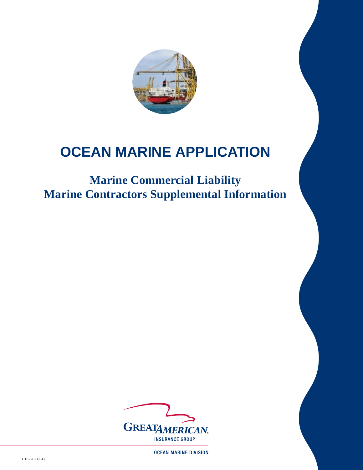

## **OCEAN MARINE APPLICATION**

## **Marine Commercial Liability Marine Contractors Supplemental Information**



**OCEAN MARINE DIVISION** 

F.16220 (1/04)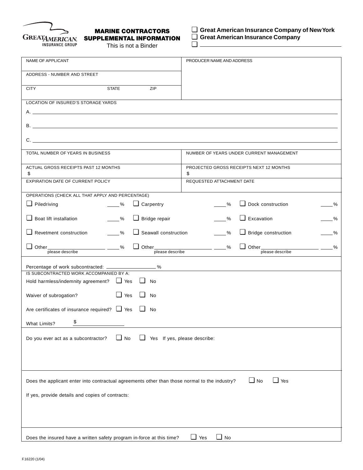

## **MARINE CONTRACTORS SUPPLEMENTAL INFORMATION**

This is not a Binder

❏ **Great American Insurance Company of New York**

❏ **Great American Insurance Company**

 $\Box$ 

| NAME OF APPLICANT                                                                                                                                                            | PRODUCER NAME AND ADDRESS                                        |  |  |  |  |
|------------------------------------------------------------------------------------------------------------------------------------------------------------------------------|------------------------------------------------------------------|--|--|--|--|
| ADDRESS - NUMBER AND STREET                                                                                                                                                  |                                                                  |  |  |  |  |
| <b>STATE</b><br>ZIP<br><b>CITY</b>                                                                                                                                           |                                                                  |  |  |  |  |
| LOCATION OF INSURED'S STORAGE YARDS                                                                                                                                          |                                                                  |  |  |  |  |
| $A.$ $\overline{\phantom{a}}$                                                                                                                                                |                                                                  |  |  |  |  |
|                                                                                                                                                                              |                                                                  |  |  |  |  |
| $C.$ $C.$                                                                                                                                                                    |                                                                  |  |  |  |  |
| TOTAL NUMBER OF YEARS IN BUSINESS                                                                                                                                            | NUMBER OF YEARS UNDER CURRENT MANAGEMENT                         |  |  |  |  |
| ACTUAL GROSS RECEIPTS PAST 12 MONTHS<br>\$                                                                                                                                   | PROJECTED GROSS RECEIPTS NEXT 12 MONTHS<br>\$                    |  |  |  |  |
| EXPIRATION DATE OF CURRENT POLICY                                                                                                                                            | REQUESTED ATTACHMENT DATE                                        |  |  |  |  |
| OPERATIONS (CHECK ALL THAT APPLY AND PERCENTAGE)                                                                                                                             |                                                                  |  |  |  |  |
| $\Box$ Piledriving<br>$\Box$ Carpentry<br>$\%$                                                                                                                               | $\Box$ Dock construction<br>$\%$<br>$-$ %                        |  |  |  |  |
| $\Box$ Boat lift installation<br>$\Box$ Bridge repair<br>$\sim$ %                                                                                                            | $\Box$ Excavation<br>%<br>$-$ %                                  |  |  |  |  |
| $\Box$ Revetment construction<br>$\Box$ Seawall construction<br>$\sim$ %                                                                                                     | $\Box$ Bridge construction<br>$\sim$ %<br>$\frac{9}{6}$          |  |  |  |  |
|                                                                                                                                                                              | $\Box$ Other $\frac{1}{\text{please describe}}$<br>$\frac{9}{6}$ |  |  |  |  |
| Percentage of work subcontracted: ___________________%                                                                                                                       |                                                                  |  |  |  |  |
| IS SUBCONTRACTED WORK ACCOMPANIED BY A:                                                                                                                                      |                                                                  |  |  |  |  |
| Hold harmless/indemnity agreement? T Yes T No                                                                                                                                |                                                                  |  |  |  |  |
| $\Box$ Yes $\Box$ No<br>Waiver of subrogation?                                                                                                                               |                                                                  |  |  |  |  |
| Are certificates of insurance required? $\Box$ Yes $\Box$<br>No                                                                                                              |                                                                  |  |  |  |  |
| \$<br><b>What Limits?</b>                                                                                                                                                    |                                                                  |  |  |  |  |
| $\Box$ No<br>⊔<br>Yes If yes, please describe:<br>Do you ever act as a subcontractor?                                                                                        |                                                                  |  |  |  |  |
| $\Box$ No<br>$\Box$ Yes<br>Does the applicant enter into contractual agreements other than those normal to the industry?<br>If yes, provide details and copies of contracts: |                                                                  |  |  |  |  |
| Does the insured have a written safety program in-force at this time?                                                                                                        | $\Box$ Yes<br>$\Box$ No                                          |  |  |  |  |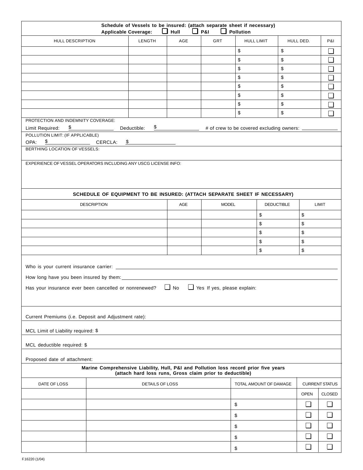| Schedule of Vessels to be insured: (attach separate sheet if necessary)<br>$\Box$ P&I<br>$\Box$ Hull<br>$\Box$ Pollution<br><b>Applicable Coverage:</b> |                                                                                                                                                       |                                                          |     |              |                                                                                      |                   |             |                       |  |  |
|---------------------------------------------------------------------------------------------------------------------------------------------------------|-------------------------------------------------------------------------------------------------------------------------------------------------------|----------------------------------------------------------|-----|--------------|--------------------------------------------------------------------------------------|-------------------|-------------|-----------------------|--|--|
| HULL DESCRIPTION                                                                                                                                        |                                                                                                                                                       | LENGTH                                                   | AGE | GRT          | <b>HULL LIMIT</b>                                                                    | HULL DED.         |             | <b>P&amp;I</b>        |  |  |
|                                                                                                                                                         |                                                                                                                                                       |                                                          |     |              | \$                                                                                   | \$                |             | $\Box$                |  |  |
|                                                                                                                                                         |                                                                                                                                                       |                                                          |     |              | \$                                                                                   | \$                |             | ❏                     |  |  |
|                                                                                                                                                         |                                                                                                                                                       |                                                          |     |              | \$                                                                                   | \$                |             | $\Box$                |  |  |
|                                                                                                                                                         |                                                                                                                                                       |                                                          |     |              | \$                                                                                   | \$                |             | $\Box$                |  |  |
|                                                                                                                                                         |                                                                                                                                                       |                                                          |     |              | \$                                                                                   | \$                |             | $\Box$                |  |  |
|                                                                                                                                                         |                                                                                                                                                       |                                                          |     |              | \$                                                                                   | \$                |             | ❏                     |  |  |
|                                                                                                                                                         |                                                                                                                                                       |                                                          |     |              | \$                                                                                   | \$                |             | $\Box$                |  |  |
|                                                                                                                                                         |                                                                                                                                                       |                                                          |     |              | $\, \, \raisebox{12pt}{$\scriptstyle \$}$                                            | \$                |             | $\Box$                |  |  |
| Limit Required:                                                                                                                                         | PROTECTION AND INDEMNITY COVERAGE:<br>$\frac{\mathcal{S}}{\mathcal{S}}$<br>$\frac{\$$ Deductible:<br># of crew to be covered excluding owners: ______ |                                                          |     |              |                                                                                      |                   |             |                       |  |  |
| POLLUTION LIMIT: (IF APPLICABLE)                                                                                                                        |                                                                                                                                                       |                                                          |     |              |                                                                                      |                   |             |                       |  |  |
| $\frac{\$$ CERCLA: $\frac{\$}$<br>OPA:<br><b>BERTHING LOCATION OF VESSELS:</b>                                                                          |                                                                                                                                                       |                                                          |     |              |                                                                                      |                   |             |                       |  |  |
|                                                                                                                                                         |                                                                                                                                                       |                                                          |     |              |                                                                                      |                   |             |                       |  |  |
| EXPERIENCE OF VESSEL OPERATORS INCLUDING ANY USCG LICENSE INFO:                                                                                         |                                                                                                                                                       |                                                          |     |              |                                                                                      |                   |             |                       |  |  |
|                                                                                                                                                         |                                                                                                                                                       |                                                          |     |              |                                                                                      |                   |             |                       |  |  |
|                                                                                                                                                         |                                                                                                                                                       |                                                          |     |              |                                                                                      |                   |             |                       |  |  |
|                                                                                                                                                         |                                                                                                                                                       |                                                          |     |              | SCHEDULE OF EQUIPMENT TO BE INSURED: (ATTACH SEPARATE SHEET IF NECESSARY)            |                   |             |                       |  |  |
|                                                                                                                                                         | <b>DESCRIPTION</b>                                                                                                                                    |                                                          | AGE | <b>MODEL</b> |                                                                                      | <b>DEDUCTIBLE</b> |             | LIMIT                 |  |  |
|                                                                                                                                                         |                                                                                                                                                       |                                                          |     |              | \$                                                                                   | \$                |             |                       |  |  |
|                                                                                                                                                         |                                                                                                                                                       |                                                          |     |              | \$                                                                                   | \$                |             |                       |  |  |
|                                                                                                                                                         |                                                                                                                                                       |                                                          |     |              | \$                                                                                   | \$                |             |                       |  |  |
|                                                                                                                                                         |                                                                                                                                                       |                                                          |     |              | \$                                                                                   | \$                |             |                       |  |  |
|                                                                                                                                                         |                                                                                                                                                       |                                                          |     |              | \$                                                                                   | \$                |             |                       |  |  |
|                                                                                                                                                         |                                                                                                                                                       |                                                          |     |              |                                                                                      |                   |             |                       |  |  |
|                                                                                                                                                         |                                                                                                                                                       |                                                          |     |              |                                                                                      |                   |             |                       |  |  |
|                                                                                                                                                         |                                                                                                                                                       |                                                          |     |              |                                                                                      |                   |             |                       |  |  |
| Has your insurance ever been cancelled or nonrenewed? $\Box$ No $\Box$ Yes If yes, please explain:                                                      |                                                                                                                                                       |                                                          |     |              |                                                                                      |                   |             |                       |  |  |
|                                                                                                                                                         |                                                                                                                                                       |                                                          |     |              |                                                                                      |                   |             |                       |  |  |
|                                                                                                                                                         |                                                                                                                                                       |                                                          |     |              |                                                                                      |                   |             |                       |  |  |
| Current Premiums (i.e. Deposit and Adjustment rate):                                                                                                    |                                                                                                                                                       |                                                          |     |              |                                                                                      |                   |             |                       |  |  |
| MCL Limit of Liability required: \$                                                                                                                     |                                                                                                                                                       |                                                          |     |              |                                                                                      |                   |             |                       |  |  |
|                                                                                                                                                         |                                                                                                                                                       |                                                          |     |              |                                                                                      |                   |             |                       |  |  |
| MCL deductible required: \$                                                                                                                             |                                                                                                                                                       |                                                          |     |              |                                                                                      |                   |             |                       |  |  |
| Proposed date of attachment:                                                                                                                            |                                                                                                                                                       |                                                          |     |              |                                                                                      |                   |             |                       |  |  |
|                                                                                                                                                         |                                                                                                                                                       |                                                          |     |              | Marine Comprehensive Liability, Hull, P&I and Pollution loss record prior five years |                   |             |                       |  |  |
|                                                                                                                                                         |                                                                                                                                                       | (attach hard loss runs, Gross claim prior to deductible) |     |              |                                                                                      |                   |             |                       |  |  |
| DATE OF LOSS                                                                                                                                            |                                                                                                                                                       | DETAILS OF LOSS                                          |     |              | TOTAL AMOUNT OF DAMAGE                                                               |                   |             | <b>CURRENT STATUS</b> |  |  |
|                                                                                                                                                         |                                                                                                                                                       |                                                          |     |              |                                                                                      |                   | <b>OPEN</b> | <b>CLOSED</b>         |  |  |
|                                                                                                                                                         |                                                                                                                                                       |                                                          |     |              | \$                                                                                   |                   | $\Box$      | $\Box$                |  |  |
|                                                                                                                                                         |                                                                                                                                                       |                                                          |     |              | \$                                                                                   |                   | $\Box$      | $\Box$                |  |  |
|                                                                                                                                                         |                                                                                                                                                       |                                                          |     |              | \$                                                                                   |                   | $\Box$      | $\Box$                |  |  |
|                                                                                                                                                         |                                                                                                                                                       |                                                          |     |              | \$                                                                                   |                   | $\Box$      | $\Box$                |  |  |
|                                                                                                                                                         |                                                                                                                                                       |                                                          |     |              | \$                                                                                   |                   | $\Box$      | $\Box$                |  |  |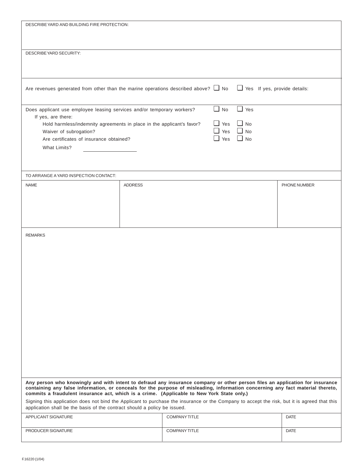| DESCRIBE YARD AND BUILDING FIRE PROTECTION:                                                                                                                                                                                                                                                                                                                                                                                                                                                                  |                |                      |                                                                         |                         |              |  |  |  |
|--------------------------------------------------------------------------------------------------------------------------------------------------------------------------------------------------------------------------------------------------------------------------------------------------------------------------------------------------------------------------------------------------------------------------------------------------------------------------------------------------------------|----------------|----------------------|-------------------------------------------------------------------------|-------------------------|--------------|--|--|--|
| DESCRIBE YARD SECURITY:                                                                                                                                                                                                                                                                                                                                                                                                                                                                                      |                |                      |                                                                         |                         |              |  |  |  |
| Are revenues generated from other than the marine operations described above? $\Box$ No $\Box$ Yes If yes, provide details:                                                                                                                                                                                                                                                                                                                                                                                  |                |                      |                                                                         |                         |              |  |  |  |
| Does applicant use employee leasing services and/or temporary workers?<br>If yes, are there:<br>Hold harmless/indemnity agreements in place in the applicant's favor?<br>Waiver of subrogation?<br>Are certificates of insurance obtained?<br><b>What Limits?</b>                                                                                                                                                                                                                                            |                |                      | $\Box$ No<br>$\Box$ Yes<br>$\Box$ Yes $\Box$ No<br>$\Box$ Yes $\Box$ No | $\Box$ Yes<br>$\Box$ No |              |  |  |  |
| TO ARRANGE A YARD INSPECTION CONTACT:                                                                                                                                                                                                                                                                                                                                                                                                                                                                        |                |                      |                                                                         |                         |              |  |  |  |
| <b>NAME</b>                                                                                                                                                                                                                                                                                                                                                                                                                                                                                                  | <b>ADDRESS</b> |                      |                                                                         |                         | PHONE NUMBER |  |  |  |
| <b>REMARKS</b>                                                                                                                                                                                                                                                                                                                                                                                                                                                                                               |                |                      |                                                                         |                         |              |  |  |  |
| Any person who knowingly and with intent to defraud any insurance company or other person files an application for insurance<br>containing any false information, or conceals for the purpose of misleading, information concerning any fact material thereto,<br>commits a fraudulent insurance act, which is a crime. (Applicable to New York State only.)<br>Signing this application does not bind the Applicant to purchase the insurance or the Company to accept the risk, but it is agreed that this |                |                      |                                                                         |                         |              |  |  |  |
| application shall be the basis of the contract should a policy be issued.                                                                                                                                                                                                                                                                                                                                                                                                                                    |                |                      |                                                                         |                         |              |  |  |  |
| APPLICANT SIGNATURE                                                                                                                                                                                                                                                                                                                                                                                                                                                                                          |                | <b>COMPANY TITLE</b> |                                                                         |                         | <b>DATE</b>  |  |  |  |
| PRODUCER SIGNATURE                                                                                                                                                                                                                                                                                                                                                                                                                                                                                           |                | <b>COMPANY TITLE</b> |                                                                         |                         | <b>DATE</b>  |  |  |  |